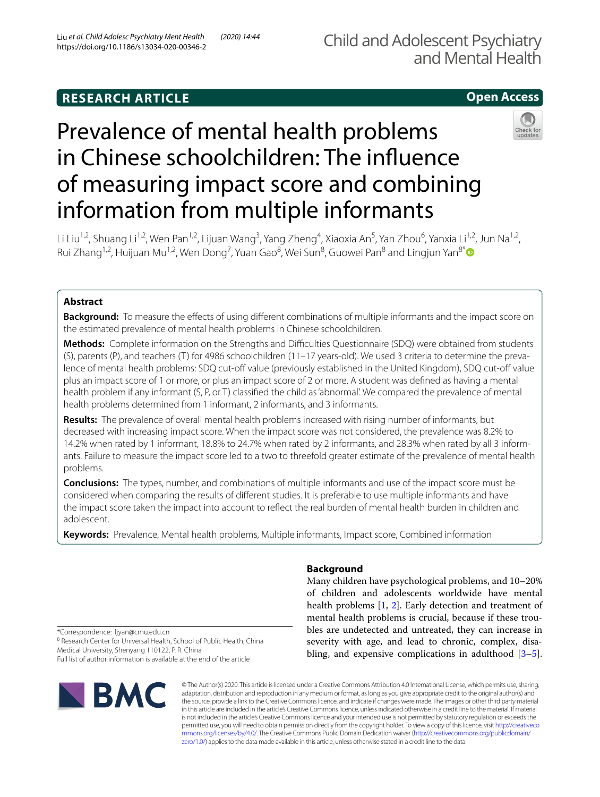# **RESEARCH ARTICLE**

# **Open Access**

# Prevalence of mental health problems in Chinese schoolchildren: The infuence of measuring impact score and combining information from multiple informants



Li Liu<sup>1,2</sup>, Shuang Li<sup>1,2</sup>, Wen Pan<sup>1,2</sup>, Lijuan Wang<sup>3</sup>, Yang Zheng<sup>4</sup>, Xiaoxia An<sup>5</sup>, Yan Zhou<sup>6</sup>, Yanxia Li<sup>1,2</sup>, Jun Na<sup>1,2</sup>, Rui Zhang<sup>1,2</sup>, Huijuan Mu<sup>1,2</sup>, Wen Dong<sup>7</sup>, Yuan Gao<sup>8</sup>, Wei Sun<sup>8</sup>, Guowei Pan<sup>8</sup> and Lingjun Yan<sup>8[\\*](http://orcid.org/0000-0001-7382-8149)</sup>

## **Abstract**

**Background:** To measure the effects of using different combinations of multiple informants and the impact score on the estimated prevalence of mental health problems in Chinese schoolchildren.

**Methods:** Complete information on the Strengths and Difficulties Questionnaire (SDQ) were obtained from students (S), parents (P), and teachers (T) for 4986 schoolchildren (11–17 years-old). We used 3 criteria to determine the prevalence of mental health problems: SDQ cut-off value (previously established in the United Kingdom), SDQ cut-off value plus an impact score of 1 or more, or plus an impact score of 2 or more. A student was defned as having a mental health problem if any informant (S, P, or T) classified the child as 'abnormal'. We compared the prevalence of mental health problems determined from 1 informant, 2 informants, and 3 informants.

**Results:** The prevalence of overall mental health problems increased with rising number of informants, but decreased with increasing impact score. When the impact score was not considered, the prevalence was 8.2% to 14.2% when rated by 1 informant, 18.8% to 24.7% when rated by 2 informants, and 28.3% when rated by all 3 informants. Failure to measure the impact score led to a two to threefold greater estimate of the prevalence of mental health problems.

**Conclusions:** The types, number, and combinations of multiple informants and use of the impact score must be considered when comparing the results of diferent studies. It is preferable to use multiple informants and have the impact score taken the impact into account to refect the real burden of mental health burden in children and adolescent.

**Keywords:** Prevalence, Mental health problems, Multiple informants, Impact score, Combined information

## **Background**

Many children have psychological problems, and 10–20% of children and adolescents worldwide have mental health problems [\[1](#page-5-0), [2\]](#page-5-1). Early detection and treatment of mental health problems is crucial, because if these troubles are undetected and untreated, they can increase in severity with age, and lead to chronic, complex, disabling, and expensive complications in adulthood [\[3](#page-5-2)[–5](#page-5-3)].

\*Correspondence: ljyan@cmu.edu.cn

<sup>8</sup> Research Center for Universal Health, School of Public Health, China Medical University, Shenyang 110122, P. R. China

Full list of author information is available at the end of the article



© The Author(s) 2020. This article is licensed under a Creative Commons Attribution 4.0 International License, which permits use, sharing, adaptation, distribution and reproduction in any medium or format, as long as you give appropriate credit to the original author(s) and the source, provide a link to the Creative Commons licence, and indicate if changes were made. The images or other third party material in this article are included in the article's Creative Commons licence, unless indicated otherwise in a credit line to the material. If material is not included in the article's Creative Commons licence and your intended use is not permitted by statutory regulation or exceeds the permitted use, you will need to obtain permission directly from the copyright holder. To view a copy of this licence, visit [http://creativeco](http://creativecommons.org/licenses/by/4.0/) [mmons.org/licenses/by/4.0/.](http://creativecommons.org/licenses/by/4.0/) The Creative Commons Public Domain Dedication waiver ([http://creativecommons.org/publicdomain/](http://creativecommons.org/publicdomain/zero/1.0/) [zero/1.0/\)](http://creativecommons.org/publicdomain/zero/1.0/) applies to the data made available in this article, unless otherwise stated in a credit line to the data.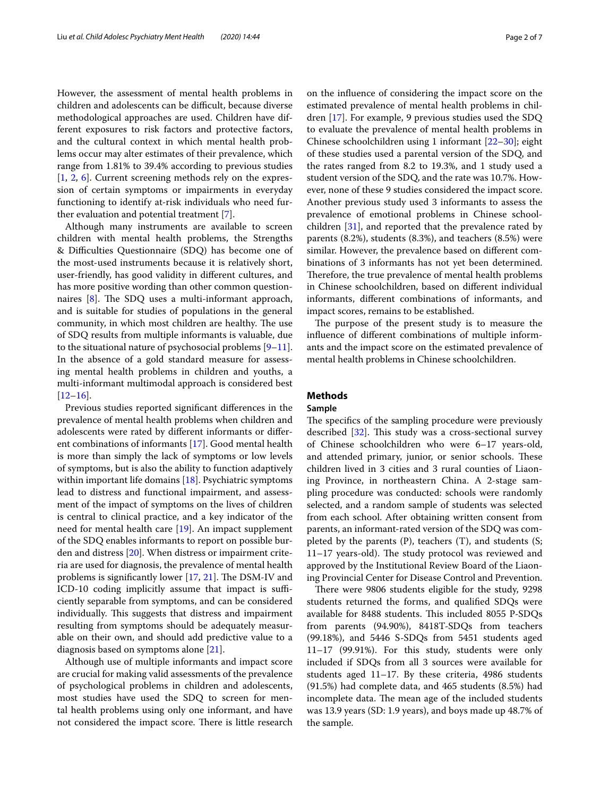However, the assessment of mental health problems in children and adolescents can be difficult, because diverse methodological approaches are used. Children have different exposures to risk factors and protective factors, and the cultural context in which mental health problems occur may alter estimates of their prevalence, which range from 1.81% to 39.4% according to previous studies [[1,](#page-5-0) [2](#page-5-1), [6\]](#page-5-4). Current screening methods rely on the expression of certain symptoms or impairments in everyday functioning to identify at-risk individuals who need further evaluation and potential treatment [[7\]](#page-5-5).

Although many instruments are available to screen children with mental health problems, the Strengths & Difculties Questionnaire (SDQ) has become one of the most-used instruments because it is relatively short, user-friendly, has good validity in diferent cultures, and has more positive wording than other common questionnaires  $[8]$  $[8]$ . The SDQ uses a multi-informant approach, and is suitable for studies of populations in the general community, in which most children are healthy. The use of SDQ results from multiple informants is valuable, due to the situational nature of psychosocial problems [\[9](#page-5-7)[–11](#page-5-8)]. In the absence of a gold standard measure for assessing mental health problems in children and youths, a multi-informant multimodal approach is considered best  $[12–16]$  $[12–16]$  $[12–16]$  $[12–16]$ .

Previous studies reported signifcant diferences in the prevalence of mental health problems when children and adolescents were rated by diferent informants or diferent combinations of informants [\[17\]](#page-5-11). Good mental health is more than simply the lack of symptoms or low levels of symptoms, but is also the ability to function adaptively within important life domains [[18\]](#page-5-12). Psychiatric symptoms lead to distress and functional impairment, and assessment of the impact of symptoms on the lives of children is central to clinical practice, and a key indicator of the need for mental health care [[19](#page-5-13)]. An impact supplement of the SDQ enables informants to report on possible burden and distress [\[20\]](#page-5-14). When distress or impairment criteria are used for diagnosis, the prevalence of mental health problems is significantly lower [\[17](#page-5-11), [21\]](#page-5-15). The DSM-IV and ICD-10 coding implicitly assume that impact is sufficiently separable from symptoms, and can be considered individually. This suggests that distress and impairment resulting from symptoms should be adequately measurable on their own, and should add predictive value to a diagnosis based on symptoms alone [\[21\]](#page-5-15).

Although use of multiple informants and impact score are crucial for making valid assessments of the prevalence of psychological problems in children and adolescents, most studies have used the SDQ to screen for mental health problems using only one informant, and have not considered the impact score. There is little research on the infuence of considering the impact score on the estimated prevalence of mental health problems in children [[17](#page-5-11)]. For example, 9 previous studies used the SDQ to evaluate the prevalence of mental health problems in Chinese schoolchildren using 1 informant [\[22](#page-5-16)[–30\]](#page-6-0); eight of these studies used a parental version of the SDQ, and the rates ranged from 8.2 to 19.3%, and 1 study used a student version of the SDQ, and the rate was 10.7%. However, none of these 9 studies considered the impact score. Another previous study used 3 informants to assess the prevalence of emotional problems in Chinese schoolchildren [\[31\]](#page-6-1), and reported that the prevalence rated by parents (8.2%), students (8.3%), and teachers (8.5%) were similar. However, the prevalence based on diferent combinations of 3 informants has not yet been determined. Therefore, the true prevalence of mental health problems in Chinese schoolchildren, based on diferent individual informants, diferent combinations of informants, and impact scores, remains to be established.

The purpose of the present study is to measure the infuence of diferent combinations of multiple informants and the impact score on the estimated prevalence of mental health problems in Chinese schoolchildren.

#### **Methods**

#### **Sample**

The specifics of the sampling procedure were previously described  $[32]$  $[32]$ . This study was a cross-sectional survey of Chinese schoolchildren who were 6–17 years-old, and attended primary, junior, or senior schools. These children lived in 3 cities and 3 rural counties of Liaoning Province, in northeastern China. A 2-stage sampling procedure was conducted: schools were randomly selected, and a random sample of students was selected from each school. After obtaining written consent from parents, an informant-rated version of the SDQ was completed by the parents  $(P)$ , teachers  $(T)$ , and students  $(S;$  $11-17$  years-old). The study protocol was reviewed and approved by the Institutional Review Board of the Liaoning Provincial Center for Disease Control and Prevention.

There were 9806 students eligible for the study, 9298 students returned the forms, and qualifed SDQs were available for 8488 students. This included 8055 P-SDQs from parents (94.90%), 8418T-SDQs from teachers (99.18%), and 5446 S-SDQs from 5451 students aged 11–17 (99.91%). For this study, students were only included if SDQs from all 3 sources were available for students aged 11–17. By these criteria, 4986 students (91.5%) had complete data, and 465 students (8.5%) had incomplete data. The mean age of the included students was 13.9 years (SD: 1.9 years), and boys made up 48.7% of the sample.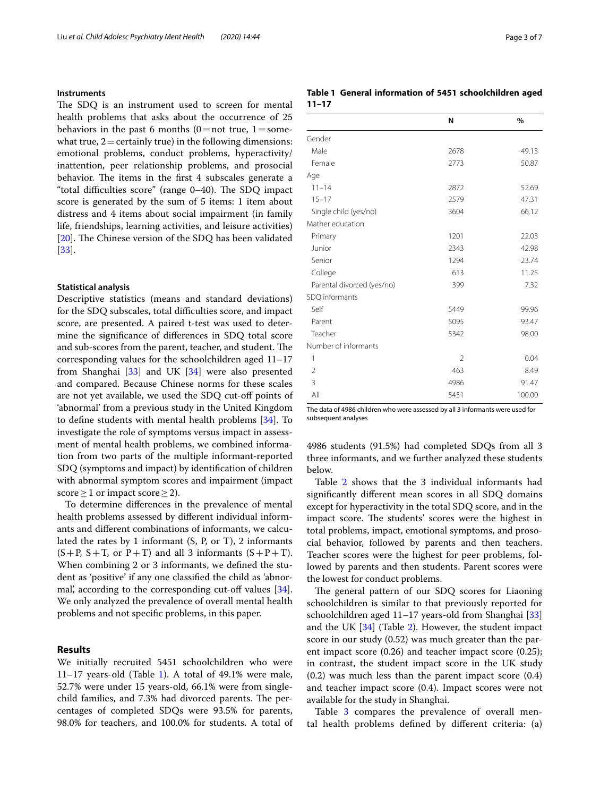#### **Instruments**

The SDQ is an instrument used to screen for mental health problems that asks about the occurrence of 25 behaviors in the past 6 months  $(0=$ not true,  $1=$ somewhat true,  $2 =$  certainly true) in the following dimensions: emotional problems, conduct problems, hyperactivity/ inattention, peer relationship problems, and prosocial behavior. The items in the first 4 subscales generate a "total difficulties score" (range  $0-40$ ). The SDQ impact score is generated by the sum of 5 items: 1 item about distress and 4 items about social impairment (in family life, friendships, learning activities, and leisure activities) [[20\]](#page-5-14). The Chinese version of the SDQ has been validated [[33\]](#page-6-3).

#### **Statistical analysis**

Descriptive statistics (means and standard deviations) for the SDQ subscales, total difficulties score, and impact score, are presented. A paired t-test was used to determine the signifcance of diferences in SDQ total score and sub-scores from the parent, teacher, and student. The corresponding values for the schoolchildren aged 11–17 from Shanghai [\[33](#page-6-3)] and UK [\[34\]](#page-6-4) were also presented and compared. Because Chinese norms for these scales are not yet available, we used the SDQ cut-off points of 'abnormal' from a previous study in the United Kingdom to defne students with mental health problems [\[34](#page-6-4)]. To investigate the role of symptoms versus impact in assessment of mental health problems, we combined information from two parts of the multiple informant-reported SDQ (symptoms and impact) by identifcation of children with abnormal symptom scores and impairment (impact score  $\geq$  1 or impact score  $\geq$  2).

To determine diferences in the prevalence of mental health problems assessed by diferent individual informants and diferent combinations of informants, we calculated the rates by 1 informant (S, P, or T), 2 informants  $(S+P, S+T, or P+T)$  and all 3 informants  $(S+P+T)$ . When combining 2 or 3 informants, we defned the student as 'positive' if any one classifed the child as 'abnormal, according to the corresponding cut-off values  $[34]$  $[34]$ . We only analyzed the prevalence of overall mental health problems and not specifc problems, in this paper.

#### **Results**

We initially recruited 5451 schoolchildren who were [1](#page-2-0)1–17 years-old (Table 1). A total of  $49.1\%$  were male, 52.7% were under 15 years-old, 66.1% were from singlechild families, and 7.3% had divorced parents. The percentages of completed SDQs were 93.5% for parents, 98.0% for teachers, and 100.0% for students. A total of

#### <span id="page-2-0"></span>**Table 1 General information of 5451 schoolchildren aged 11–17**

|                            | N    | $\%$   |
|----------------------------|------|--------|
| Gender                     |      |        |
| Male                       | 2678 | 49.13  |
| Female                     | 2773 | 50.87  |
| Age                        |      |        |
| $11 - 14$                  | 2872 | 52.69  |
| $15 - 17$                  | 2579 | 47.31  |
| Single child (yes/no)      | 3604 | 66.12  |
| Mather education           |      |        |
| Primary                    | 1201 | 22.03  |
| Junior                     | 2343 | 42.98  |
| Senior                     | 1294 | 23.74  |
| College                    | 613  | 11.25  |
| Parental divorced (yes/no) | 399  | 7.32   |
| SDQ informants             |      |        |
| Self                       | 5449 | 99.96  |
| Parent                     | 5095 | 93.47  |
| Teacher                    | 5342 | 98.00  |
| Number of informants       |      |        |
| 1                          | 2    | 0.04   |
| $\overline{2}$             | 463  | 8.49   |
| 3                          | 4986 | 91.47  |
| All                        | 5451 | 100.00 |

The data of 4986 children who were assessed by all 3 informants were used for subsequent analyses

4986 students (91.5%) had completed SDQs from all 3 three informants, and we further analyzed these students below.

Table [2](#page-3-0) shows that the 3 individual informants had signifcantly diferent mean scores in all SDQ domains except for hyperactivity in the total SDQ score, and in the impact score. The students' scores were the highest in total problems, impact, emotional symptoms, and prosocial behavior, followed by parents and then teachers. Teacher scores were the highest for peer problems, followed by parents and then students. Parent scores were the lowest for conduct problems.

The general pattern of our SDQ scores for Liaoning schoolchildren is similar to that previously reported for schoolchildren aged 11–17 years-old from Shanghai [[33](#page-6-3)] and the UK [[34\]](#page-6-4) (Table [2\)](#page-3-0). However, the student impact score in our study (0.52) was much greater than the parent impact score (0.26) and teacher impact score (0.25); in contrast, the student impact score in the UK study (0.2) was much less than the parent impact score (0.4) and teacher impact score (0.4). Impact scores were not available for the study in Shanghai.

Table [3](#page-3-1) compares the prevalence of overall mental health problems defned by diferent criteria: (a)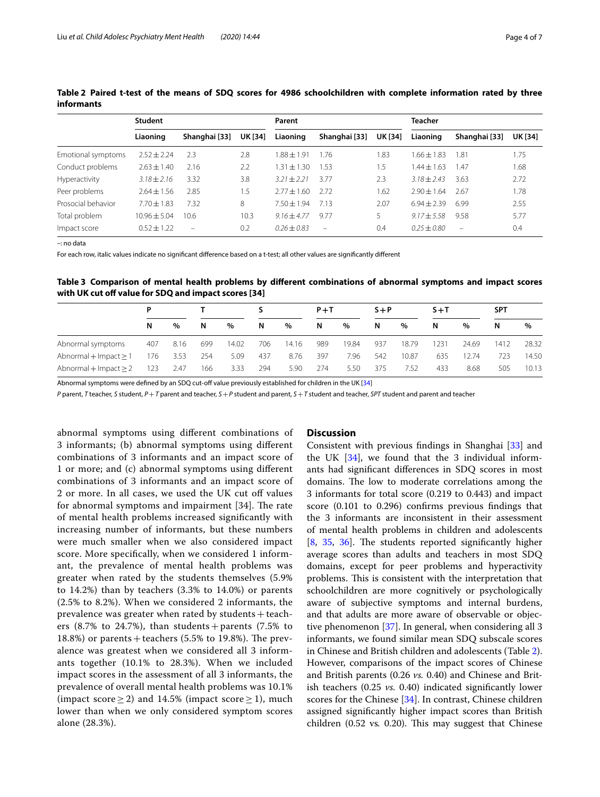|                    | Student         |               |                | Parent          |                          |                | <b>Teacher</b>  |               |                |  |
|--------------------|-----------------|---------------|----------------|-----------------|--------------------------|----------------|-----------------|---------------|----------------|--|
|                    | Liaoning        | Shanghai [33] | <b>UK [34]</b> | Liaoning        | Shanghai [33]            | <b>UK [34]</b> | Liaoning        | Shanghai [33] | <b>UK [34]</b> |  |
| Emotional symptoms | $2.52 + 2.24$   | 2.3           | 2.8            | $1.88 + 1.91$   | 1.76                     | 1.83           | $1.66 + 1.83$   | 1.81          | 1.75           |  |
| Conduct problems   | $2.63 \pm 1.40$ | 2.16          | 2.2            | $1.31 \pm 1.30$ | 1.53                     | 1.5            | $1.44 + 1.63$   | 1.47          | 1.68           |  |
| Hyperactivity      | $3.18 \pm 2.16$ | 3.32          | 3.8            | $3.21 + 2.21$   | 3.77                     | 2.3            | $3.18 + 2.43$   | 3.63          | 2.72           |  |
| Peer problems      | $2.64 \pm 1.56$ | 2.85          | . .5           | $277 + 160$     | 272                      | 1.62           | $2.90 \pm 1.64$ | 2.67          | 1.78           |  |
| Prosocial behavior | $7.70 \pm 1.83$ | 7.32          | 8              | $7.50 + 1.94$   | 7.13                     | 2.07           | $6.94 + 2.39$   | 6.99          | 2.55           |  |
| Total problem      | $10.96 + 5.04$  | 10.6          | 10.3           | $9.16 + 4.77$   | 9.77                     |                | $9.17 + 5.58$   | 9.58          | 5.77           |  |
| Impact score       | $0.52 + 1.22$   | $\equiv$      | 0.2            | $0.26 + 0.83$   | $\overline{\phantom{0}}$ | 0.4            | $0.25 + 0.80$   | $\equiv$      | 0.4            |  |

<span id="page-3-0"></span>**Table 2 Paired t-test of the means of SDQ scores for 4986 schoolchildren with complete information rated by three informants**

–: no data

For each row, italic values indicate no signifcant diference based on a t-test; all other values are signifcantly diferent

<span id="page-3-1"></span>**Table 3 Comparison of mental health problems by diferent combinations of abnormal symptoms and impact scores**  with UK cut off value for SDQ and impact scores [34]

|                            | D   |      |     |       |     |       | $P+T$ |       | $S + P$ |       | $S + T$ |       | <b>SPT</b> |       |
|----------------------------|-----|------|-----|-------|-----|-------|-------|-------|---------|-------|---------|-------|------------|-------|
|                            | N   | $\%$ | N   | $\%$  | N   | $\%$  | N     | $\%$  | N       | $\%$  | N       | $\%$  | N          | $\%$  |
| Abnormal symptoms          | 407 | 8.16 | 699 | 14.02 | 706 | 14.16 | 989   | 19.84 | 937     | 18.79 | 1231    | 24.69 | 1412       | 28.32 |
| Abnormal + Impact $\geq$ 1 | 176 | 3.53 | 254 | 5.09  | 437 | 8.76  | 397   | 7.96  | 542     | 10.87 | 635     | 12.74 | 723        | 14.50 |
| Abnormal $+$ Impact $>$ 2  | 123 | 2.47 | 166 | 3.33  | 294 | 5.90  | 274   | 5.50  | 375     | 7.52  | 433     | 8.68  | 505        | 10.13 |

Abnormal symptoms were defined by an SDQ cut-off value previously established for children in the UK [[34\]](#page-6-4)

*P* parent, *T* teacher, *S* student, *P*+*T* parent and teacher, *S*+*P* student and parent, *S*+*T* student and teacher, *SPT* student and parent and teacher

abnormal symptoms using diferent combinations of 3 informants; (b) abnormal symptoms using diferent combinations of 3 informants and an impact score of 1 or more; and (c) abnormal symptoms using diferent combinations of 3 informants and an impact score of 2 or more. In all cases, we used the UK cut off values for abnormal symptoms and impairment [34]. The rate of mental health problems increased signifcantly with increasing number of informants, but these numbers were much smaller when we also considered impact score. More specifcally, when we considered 1 informant, the prevalence of mental health problems was greater when rated by the students themselves (5.9% to 14.2%) than by teachers (3.3% to 14.0%) or parents (2.5% to 8.2%). When we considered 2 informants, the prevalence was greater when rated by students + teachers (8.7% to 24.7%), than students + parents (7.5% to 18.8%) or parents + teachers (5.5% to 19.8%). The prevalence was greatest when we considered all 3 informants together (10.1% to 28.3%). When we included impact scores in the assessment of all 3 informants, the prevalence of overall mental health problems was 10.1% (impact score  $\geq$  2) and 14.5% (impact score  $\geq$  1), much lower than when we only considered symptom scores alone (28.3%).

#### **Discussion**

Consistent with previous fndings in Shanghai [[33](#page-6-3)] and the UK [\[34\]](#page-6-4), we found that the 3 individual informants had signifcant diferences in SDQ scores in most domains. The low to moderate correlations among the 3 informants for total score (0.219 to 0.443) and impact score (0.101 to 0.296) confrms previous fndings that the 3 informants are inconsistent in their assessment of mental health problems in children and adolescents [[8,](#page-5-6) [35,](#page-6-5) [36\]](#page-6-6). The students reported significantly higher average scores than adults and teachers in most SDQ domains, except for peer problems and hyperactivity problems. This is consistent with the interpretation that schoolchildren are more cognitively or psychologically aware of subjective symptoms and internal burdens, and that adults are more aware of observable or objective phenomenon [\[37](#page-6-7)]. In general, when considering all 3 informants, we found similar mean SDQ subscale scores in Chinese and British children and adolescents (Table [2](#page-3-0)). However, comparisons of the impact scores of Chinese and British parents (0.26 *vs.* 0.40) and Chinese and British teachers (0.25 *vs.* 0.40) indicated signifcantly lower scores for the Chinese [\[34](#page-6-4)]. In contrast, Chinese children assigned signifcantly higher impact scores than British children (0.52 vs. 0.20). This may suggest that Chinese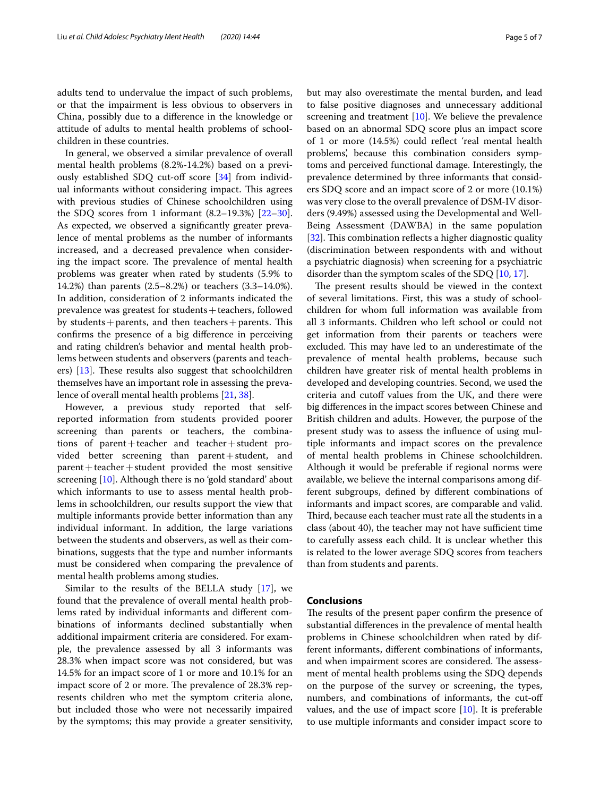In general, we observed a similar prevalence of overall mental health problems (8.2%-14.2%) based on a previously established SDQ cut-off score  $[34]$  $[34]$  from individual informants without considering impact. This agrees with previous studies of Chinese schoolchildren using the SDQ scores from 1 informant  $(8.2-19.3%)$   $[22-30]$  $[22-30]$  $[22-30]$ . As expected, we observed a signifcantly greater prevalence of mental problems as the number of informants increased, and a decreased prevalence when considering the impact score. The prevalence of mental health problems was greater when rated by students (5.9% to 14.2%) than parents (2.5–8.2%) or teachers (3.3–14.0%). In addition, consideration of 2 informants indicated the prevalence was greatest for students+teachers, followed by students + parents, and then teachers + parents. This confrms the presence of a big diference in perceiving and rating children's behavior and mental health problems between students and observers (parents and teachers)  $[13]$  $[13]$ . These results also suggest that schoolchildren themselves have an important role in assessing the prevalence of overall mental health problems [[21,](#page-5-15) [38\]](#page-6-8).

However, a previous study reported that selfreported information from students provided poorer screening than parents or teachers, the combinations of  $parent + teacher$  and  $teacher + student$  provided better screening than parent+student, and  $parent + teacher + student$  provided the most sensitive screening [[10](#page-5-18)]. Although there is no 'gold standard' about which informants to use to assess mental health problems in schoolchildren, our results support the view that multiple informants provide better information than any individual informant. In addition, the large variations between the students and observers, as well as their combinations, suggests that the type and number informants must be considered when comparing the prevalence of mental health problems among studies.

Similar to the results of the BELLA study [[17\]](#page-5-11), we found that the prevalence of overall mental health problems rated by individual informants and diferent combinations of informants declined substantially when additional impairment criteria are considered. For example, the prevalence assessed by all 3 informants was 28.3% when impact score was not considered, but was 14.5% for an impact score of 1 or more and 10.1% for an impact score of 2 or more. The prevalence of 28.3% represents children who met the symptom criteria alone, but included those who were not necessarily impaired by the symptoms; this may provide a greater sensitivity, but may also overestimate the mental burden, and lead to false positive diagnoses and unnecessary additional screening and treatment [[10\]](#page-5-18). We believe the prevalence based on an abnormal SDQ score plus an impact score of 1 or more (14.5%) could refect 'real mental health problems', because this combination considers symptoms and perceived functional damage. Interestingly, the prevalence determined by three informants that considers SDQ score and an impact score of 2 or more (10.1%) was very close to the overall prevalence of DSM-IV disorders (9.49%) assessed using the Developmental and Well-Being Assessment (DAWBA) in the same population [[32\]](#page-6-2). This combination reflects a higher diagnostic quality (discrimination between respondents with and without a psychiatric diagnosis) when screening for a psychiatric disorder than the symptom scales of the SDQ [\[10](#page-5-18), [17\]](#page-5-11).

The present results should be viewed in the context of several limitations. First, this was a study of schoolchildren for whom full information was available from all 3 informants. Children who left school or could not get information from their parents or teachers were excluded. This may have led to an underestimate of the prevalence of mental health problems, because such children have greater risk of mental health problems in developed and developing countries. Second, we used the criteria and cutoff values from the UK, and there were big diferences in the impact scores between Chinese and British children and adults. However, the purpose of the present study was to assess the infuence of using multiple informants and impact scores on the prevalence of mental health problems in Chinese schoolchildren. Although it would be preferable if regional norms were available, we believe the internal comparisons among different subgroups, defned by diferent combinations of informants and impact scores, are comparable and valid. Third, because each teacher must rate all the students in a class (about 40), the teacher may not have sufficient time to carefully assess each child. It is unclear whether this is related to the lower average SDQ scores from teachers than from students and parents.

#### **Conclusions**

The results of the present paper confirm the presence of substantial diferences in the prevalence of mental health problems in Chinese schoolchildren when rated by different informants, diferent combinations of informants, and when impairment scores are considered. The assessment of mental health problems using the SDQ depends on the purpose of the survey or screening, the types, numbers, and combinations of informants, the cut-of values, and the use of impact score [\[10](#page-5-18)]. It is preferable to use multiple informants and consider impact score to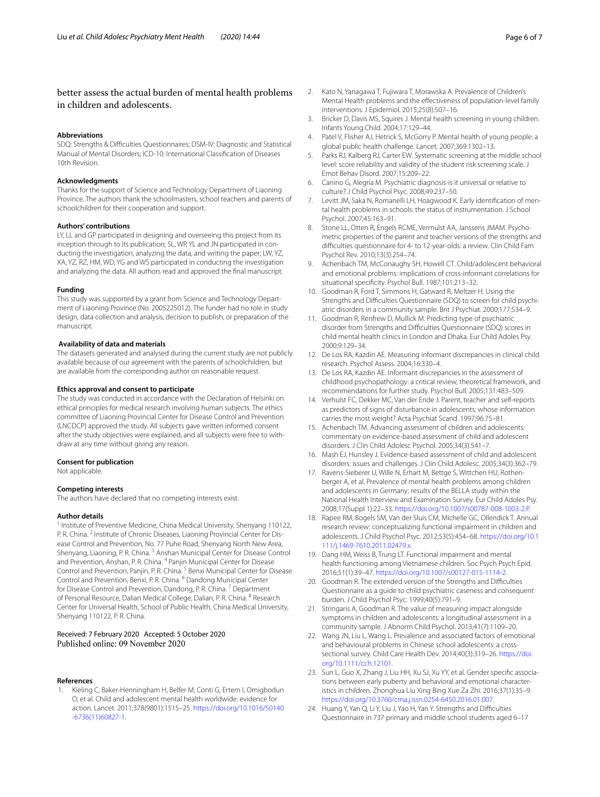### better assess the actual burden of mental health problems in children and adolescents.

#### **Abbreviations**

SDQ: Strengths & Difficulties Questionnaires; DSM-IV: Diagnostic and Statistical Manual of Mental Disorders; ICD-10: International Classifcation of Diseases 10th Revision.

#### **Acknowledgments**

Thanks for the support of Science and Technology Department of Liaoning Province. The authors thank the schoolmasters, school teachers and parents of schoolchildren for their cooperation and support.

#### **Authors' contributions**

LY, LL and GP participated in designing and overseeing this project from its inception through to its publication; SL, WP, YL and JN participated in conducting the investigation, analyzing the data, and writing the paper; LW, YZ, XA, YZ, RZ, HM, WD, YG and WS participated in conducting the investigation and analyzing the data. All authors read and approved the fnal manuscript.

#### **Funding**

This study was supported by a grant from Science and Technology Department of Liaoning Province (No. 2005225012). The funder had no role in study design, data collection and analysis, decision to publish, or preparation of the manuscript.

#### **Availability of data and materials**

The datasets generated and analysed during the current study are not publicly available because of our agreement with the parents of schoolchildren, but are available from the corresponding author on reasonable request.

#### **Ethics approval and consent to participate**

The study was conducted in accordance with the Declaration of Helsinki on ethical principles for medical research involving human subjects. The ethics committee of Liaoning Provincial Center for Disease Control and Prevention (LNCDCP) approved the study. All subjects gave written informed consent after the study objectives were explained, and all subjects were free to withdraw at any time without giving any reason.

#### **Consent for publication**

Not applicable.

#### **Competing interests**

The authors have declared that no competing interests exist.

#### **Author details**

<sup>1</sup> Institute of Preventive Medicine, China Medical University, Shenyang 110122, P. R. China. <sup>2</sup> Institute of Chronic Diseases, Liaoning Provincial Center for Disease Control and Prevention, No. 77 Puhe Road, Shenyang North New Area, Shenyang, Liaoning, P. R. China. <sup>3</sup> Anshan Municipal Center for Disease Control and Prevention, Anshan, P. R. China. 4 Panjin Municipal Center for Disease Control and Prevention, Panjin, P. R. China.<sup>5</sup> Benxi Municipal Center for Disease Control and Prevention, Benxi, P. R. China. 6 Dandong Municipal Center for Disease Control and Prevention, Dandong, P. R. China.<sup>7</sup> Department of Personal Resource, Dalian Medical College, Dalian, P. R. China. 8 Research Center for Universal Health, School of Public Health, China Medical University, Shenyang 110122, P. R. China.

# Received: 7 February 2020 Accepted: 5 October 2020

#### **References**

<span id="page-5-0"></span>1. Kieling C, Baker-Henningham H, Belfer M, Conti G, Ertem I, Omigbodun O, et al. Child and adolescent mental health worldwide: evidence for action. Lancet. 2011;378(9801):1515–25. [https://doi.org/10.1016/S0140](https://doi.org/10.1016/S0140-6736(11)60827-1) [-6736\(11\)60827-1](https://doi.org/10.1016/S0140-6736(11)60827-1).

- <span id="page-5-1"></span>2. Kato N, Yanagawa T, Fujiwara T, Morawska A. Prevalence of Children's Mental Health problems and the efectiveness of population-level family interventions. J Epidemiol. 2015;25(8):507–16.
- <span id="page-5-2"></span>3. Bricker D, Davis MS, Squires J. Mental health screening in young children. Infants Young Child. 2004;17:129–44.
- 4. Patel V, Flisher AJ, Hetrick S, McGorry P. Mental health of young people: a global public health challenge. Lancet. 2007;369:1302–13.
- <span id="page-5-3"></span>5. Parks RJ, Kalberg RJ, Carter EW. Systematic screening at the middle school level: score reliability and validity of the student risk screening scale. J Emot Behav Disord. 2007;15:209–22.
- <span id="page-5-4"></span>6. Canino G, Alegría M. Psychiatric diagnosis-is it universal or relative to culture? J Child Psychol Psyc. 2008;49:237–50.
- <span id="page-5-5"></span>7. Levitt JM, Saka N, Romanelli LH, Hoagwood K. Early identifcation of mental health problems in schools: the status of instrumentation. J School Psychol. 2007;45:163–91.
- <span id="page-5-6"></span>Stone LL, Otten R, Engels RCME, Vermulst AA, Janssens JMAM. Psychometric properties of the parent and teacher versions of the strengths and difculties questionnaire for 4- to 12-year-olds: a review. Clin Child Fam Psychol Rev. 2010;13(3):254–74.
- <span id="page-5-7"></span>9. Achenbach TM, McConaughy SH, Howell CT. Child/adolescent behavioral and emotional problems: implications of cross-informant correlations for situational specifcity. Psychol Bull. 1987;101:213–32.
- <span id="page-5-18"></span>10. Goodman R, Ford T, Simmons H, Gatward R, Meltzer H. Using the Strengths and Difficulties Questionnaire (SDQ) to screen for child psychiatric disorders in a community sample. Brit J Psychiat. 2000;177:534–9.
- <span id="page-5-8"></span>11. Goodman R, Renfrew D, Mullick M. Predicting type of psychiatric disorder from Strengths and Difficulties Questionnaire (SDQ) scores in child mental health clinics in London and Dhaka. Eur Child Adoles Psy. 2000;9:129–34.
- <span id="page-5-9"></span>12. De Los RA, Kazdin AE. Measuring informant discrepancies in clinical child research. Psychol Assess. 2004;16:330–4.
- <span id="page-5-17"></span>13. De Los RA, Kazdin AE. Informant discrepancies in the assessment of childhood psychopathology: a critical review, theoretical framework, and recommendations for further study. Psychol Bull. 2005;131:483–509.
- 14. Verhulst FC, Dekker MC, Van der Ende J. Parent, teacher and self-reports as predictors of signs of disturbance in adolescents: whose information carries the most weight? Acta Psychiat Scand. 1997;96:75–81.
- 15. Achenbach TM. Advancing assessment of children and adolescents: commentary on evidence-based assessment of child and adolescent disorders. J Clin Child Adolesc Psychol. 2005;34(3):541–7.
- <span id="page-5-10"></span>16. Mash EJ, Hunsley J. Evidence-based assessment of child and adolescent disorders: issues and challenges. J Clin Child Adolesc. 2005;34(3):362–79.
- <span id="page-5-11"></span>17. Ravens-Sieberer U, Wille N, Erhart M, Bettge S, Wittchen HU, Rothenberger A, et al. Prevalence of mental health problems among children and adolescents in Germany: results of the BELLA study within the National Health Interview and Examination Survey. Eur Child Adoles Psy. 2008;17(Suppl 1):22–33.<https://doi.org/10.1007/s00787-008-1003-2.P>.
- <span id="page-5-12"></span>18. Rapee RM, Bogels SM, Van der Sluis CM, Michelle GC, Ollendick T. Annual research review: conceptualizing functional impairment in children and adolescents. J Child Psychol Psyc. 2012;53(5):454–68. [https://doi.org/10.1](https://doi.org/10.1111/j.1469-7610.2011.02479.x) [111/j.1469-7610.2011.02479.x.](https://doi.org/10.1111/j.1469-7610.2011.02479.x)
- <span id="page-5-13"></span>19. Dang HM, Weiss B, Trung LT. Functional impairment and mental health functioning among Vietnamese children. Soc Psych Psych Epid. 2016;51(1):39–47.<https://doi.org/10.1007/s00127-015-1114-2>.
- <span id="page-5-14"></span>20. Goodman R. The extended version of the Strengths and Difficulties Questionnaire as a guide to child psychiatric caseness and consequent burden. J Child Psychol Psyc. 1999;40(5):791–9.
- <span id="page-5-15"></span>21. Stringaris A, Goodman R. The value of measuring impact alongside symptoms in children and adolescents: a longitudinal assessment in a community sample. J Abnorm Child Psychol. 2013;41(7):1109–20.
- <span id="page-5-16"></span>22. Wang JN, Liu L, Wang L, Prevalence and associated factors of emotional and behavioural problems in Chinese school adolescents: a crosssectional survey. Child Care Health Dev. 2014;40(3):319–26. [https://doi.](https://doi.org/10.1111/cch.12101) [org/10.1111/cch.12101.](https://doi.org/10.1111/cch.12101)
- 23. Sun L, Guo X, Zhang J, Liu HH, Xu SJ, Xu YY, et al. Gender specifc associations between early puberty and behavioral and emotional characteristics in children. Zhonghua Liu Xing Bing Xue Za Zhi. 2016;37(1):35–9. <https://doi.org/10.3760/cma.j.issn.0254-6450.2016.01.007>.
- 24. Huang Y, Yan Q, Li Y, Liu J, Yao H, Yan Y. Strengths and Difficulties Questionnaire in 737 primary and middle school students aged 6–17